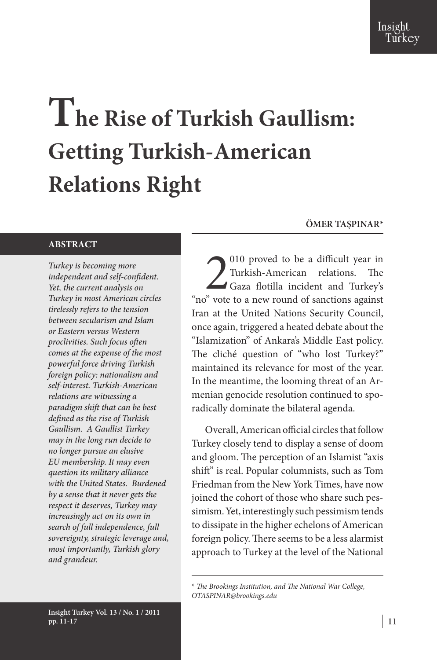# **The Rise of Turkish Gaullism: Getting Turkish-American Relations Right**

### **ABSTRACT**

*Turkey is becoming more independent and self-confident. Yet, the current analysis on Turkey in most American circles tirelessly refers to the tension between secularism and Islam or Eastern versus Western proclivities. Such focus often comes at the expense of the most powerful force driving Turkish foreign policy: nationalism and self-interest. Turkish-American relations are witnessing a paradigm shift that can be best defined as the rise of Turkish Gaullism. A Gaullist Turkey may in the long run decide to no longer pursue an elusive EU membership. It may even question its military alliance with the United States. Burdened by a sense that it never gets the respect it deserves, Turkey may increasingly act on its own in search of full independence, full sovereignty, strategic leverage and, most importantly, Turkish glory and grandeur.*

**ÖMER TAŞPINAR\***

2010 proved to be a difficult year in Turkish-American relations. The Gaza flotilla incident and Turkey's "no" vote to a new round of sanctions against 010 proved to be a difficult year in Turkish-American relations. The Gaza flotilla incident and Turkey's Iran at the United Nations Security Council, once again, triggered a heated debate about the "Islamization" of Ankara's Middle East policy. The cliché question of "who lost Turkey?" maintained its relevance for most of the year. In the meantime, the looming threat of an Armenian genocide resolution continued to sporadically dominate the bilateral agenda.

Overall, American official circles that follow Turkey closely tend to display a sense of doom and gloom. The perception of an Islamist "axis shift" is real. Popular columnists, such as Tom Friedman from the New York Times, have now joined the cohort of those who share such pessimism. Yet, interestingly such pessimism tends to dissipate in the higher echelons of American foreign policy. There seems to be a less alarmist approach to Turkey at the level of the National

<sup>\*</sup> *The Brookings Institution, and The National War College, OTASPINAR@brookings.edu*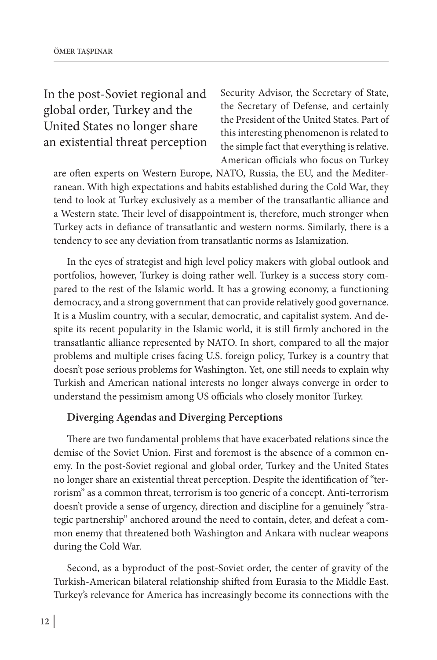In the post-Soviet regional and global order, Turkey and the United States no longer share an existential threat perception Security Advisor, the Secretary of State, the Secretary of Defense, and certainly the President of the United States. Part of this interesting phenomenon is related to the simple fact that everything is relative. American officials who focus on Turkey

are often experts on Western Europe, NATO, Russia, the EU, and the Mediterranean. With high expectations and habits established during the Cold War, they tend to look at Turkey exclusively as a member of the transatlantic alliance and a Western state. Their level of disappointment is, therefore, much stronger when Turkey acts in defiance of transatlantic and western norms. Similarly, there is a tendency to see any deviation from transatlantic norms as Islamization.

In the eyes of strategist and high level policy makers with global outlook and portfolios, however, Turkey is doing rather well. Turkey is a success story compared to the rest of the Islamic world. It has a growing economy, a functioning democracy, and a strong government that can provide relatively good governance. It is a Muslim country, with a secular, democratic, and capitalist system. And despite its recent popularity in the Islamic world, it is still firmly anchored in the transatlantic alliance represented by NATO. In short, compared to all the major problems and multiple crises facing U.S. foreign policy, Turkey is a country that doesn't pose serious problems for Washington. Yet, one still needs to explain why Turkish and American national interests no longer always converge in order to understand the pessimism among US officials who closely monitor Turkey.

## **Diverging Agendas and Diverging Perceptions**

There are two fundamental problems that have exacerbated relations since the demise of the Soviet Union. First and foremost is the absence of a common enemy. In the post-Soviet regional and global order, Turkey and the United States no longer share an existential threat perception. Despite the identification of "terrorism" as a common threat, terrorism is too generic of a concept. Anti-terrorism doesn't provide a sense of urgency, direction and discipline for a genuinely "strategic partnership" anchored around the need to contain, deter, and defeat a common enemy that threatened both Washington and Ankara with nuclear weapons during the Cold War.

Second, as a byproduct of the post-Soviet order, the center of gravity of the Turkish-American bilateral relationship shifted from Eurasia to the Middle East. Turkey's relevance for America has increasingly become its connections with the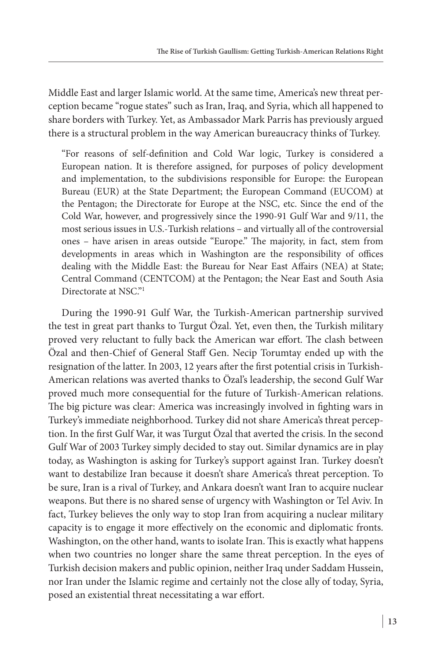Middle East and larger Islamic world. At the same time, America's new threat perception became "rogue states" such as Iran, Iraq, and Syria, which all happened to share borders with Turkey. Yet, as Ambassador Mark Parris has previously argued there is a structural problem in the way American bureaucracy thinks of Turkey.

"For reasons of self-definition and Cold War logic, Turkey is considered a European nation. It is therefore assigned, for purposes of policy development and implementation, to the subdivisions responsible for Europe: the European Bureau (EUR) at the State Department; the European Command (EUCOM) at the Pentagon; the Directorate for Europe at the NSC, etc. Since the end of the Cold War, however, and progressively since the 1990-91 Gulf War and 9/11, the most serious issues in U.S.-Turkish relations – and virtually all of the controversial ones – have arisen in areas outside "Europe." The majority, in fact, stem from developments in areas which in Washington are the responsibility of offices dealing with the Middle East: the Bureau for Near East Affairs (NEA) at State; Central Command (CENTCOM) at the Pentagon; the Near East and South Asia Directorate at NSC."<sup>1</sup>

During the 1990-91 Gulf War, the Turkish-American partnership survived the test in great part thanks to Turgut Özal. Yet, even then, the Turkish military proved very reluctant to fully back the American war effort. The clash between Özal and then-Chief of General Staff Gen. Necip Torumtay ended up with the resignation of the latter. In 2003, 12 years after the first potential crisis in Turkish-American relations was averted thanks to Özal's leadership, the second Gulf War proved much more consequential for the future of Turkish-American relations. The big picture was clear: America was increasingly involved in fighting wars in Turkey's immediate neighborhood. Turkey did not share America's threat perception. In the first Gulf War, it was Turgut Özal that averted the crisis. In the second Gulf War of 2003 Turkey simply decided to stay out. Similar dynamics are in play today, as Washington is asking for Turkey's support against Iran. Turkey doesn't want to destabilize Iran because it doesn't share America's threat perception. To be sure, Iran is a rival of Turkey, and Ankara doesn't want Iran to acquire nuclear weapons. But there is no shared sense of urgency with Washington or Tel Aviv. In fact, Turkey believes the only way to stop Iran from acquiring a nuclear military capacity is to engage it more effectively on the economic and diplomatic fronts. Washington, on the other hand, wants to isolate Iran. This is exactly what happens when two countries no longer share the same threat perception. In the eyes of Turkish decision makers and public opinion, neither Iraq under Saddam Hussein, nor Iran under the Islamic regime and certainly not the close ally of today, Syria, posed an existential threat necessitating a war effort.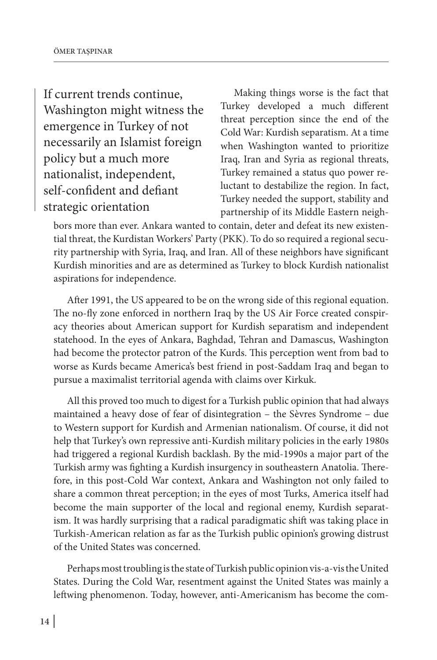If current trends continue, Washington might witness the emergence in Turkey of not necessarily an Islamist foreign policy but a much more nationalist, independent, self-confident and defiant strategic orientation

Making things worse is the fact that Turkey developed a much different threat perception since the end of the Cold War: Kurdish separatism. At a time when Washington wanted to prioritize Iraq, Iran and Syria as regional threats, Turkey remained a status quo power reluctant to destabilize the region. In fact, Turkey needed the support, stability and partnership of its Middle Eastern neigh-

bors more than ever. Ankara wanted to contain, deter and defeat its new existential threat, the Kurdistan Workers' Party (PKK). To do so required a regional security partnership with Syria, Iraq, and Iran. All of these neighbors have significant Kurdish minorities and are as determined as Turkey to block Kurdish nationalist aspirations for independence.

After 1991, the US appeared to be on the wrong side of this regional equation. The no-fly zone enforced in northern Iraq by the US Air Force created conspiracy theories about American support for Kurdish separatism and independent statehood. In the eyes of Ankara, Baghdad, Tehran and Damascus, Washington had become the protector patron of the Kurds. This perception went from bad to worse as Kurds became America's best friend in post-Saddam Iraq and began to pursue a maximalist territorial agenda with claims over Kirkuk.

All this proved too much to digest for a Turkish public opinion that had always maintained a heavy dose of fear of disintegration – the Sèvres Syndrome – due to Western support for Kurdish and Armenian nationalism. Of course, it did not help that Turkey's own repressive anti-Kurdish military policies in the early 1980s had triggered a regional Kurdish backlash. By the mid-1990s a major part of the Turkish army was fighting a Kurdish insurgency in southeastern Anatolia. Therefore, in this post-Cold War context, Ankara and Washington not only failed to share a common threat perception; in the eyes of most Turks, America itself had become the main supporter of the local and regional enemy, Kurdish separatism. It was hardly surprising that a radical paradigmatic shift was taking place in Turkish-American relation as far as the Turkish public opinion's growing distrust of the United States was concerned.

Perhaps most troubling is the state of Turkish public opinion vis-a-vis the United States. During the Cold War, resentment against the United States was mainly a leftwing phenomenon. Today, however, anti-Americanism has become the com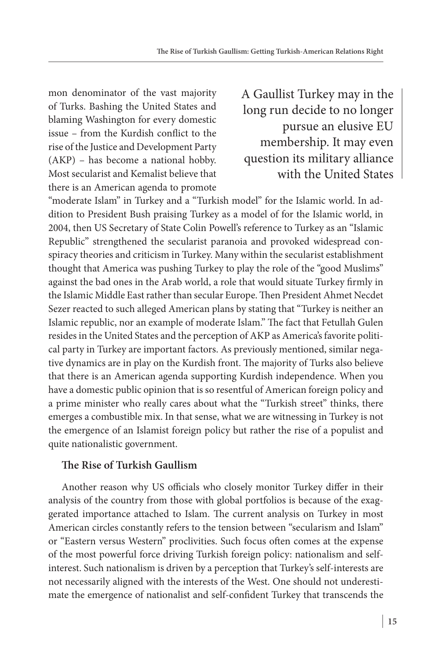mon denominator of the vast majority of Turks. Bashing the United States and blaming Washington for every domestic issue – from the Kurdish conflict to the rise of the Justice and Development Party (AKP) – has become a national hobby. Most secularist and Kemalist believe that there is an American agenda to promote

A Gaullist Turkey may in the long run decide to no longer pursue an elusive EU membership. It may even question its military alliance with the United States

"moderate Islam" in Turkey and a "Turkish model" for the Islamic world. In addition to President Bush praising Turkey as a model of for the Islamic world, in 2004, then US Secretary of State Colin Powell's reference to Turkey as an "Islamic Republic" strengthened the secularist paranoia and provoked widespread conspiracy theories and criticism in Turkey. Many within the secularist establishment thought that America was pushing Turkey to play the role of the "good Muslims" against the bad ones in the Arab world, a role that would situate Turkey firmly in the Islamic Middle East rather than secular Europe. Then President Ahmet Necdet Sezer reacted to such alleged American plans by stating that "Turkey is neither an Islamic republic, nor an example of moderate Islam." The fact that Fetullah Gulen resides in the United States and the perception of AKP as America's favorite political party in Turkey are important factors. As previously mentioned, similar negative dynamics are in play on the Kurdish front. The majority of Turks also believe that there is an American agenda supporting Kurdish independence. When you have a domestic public opinion that is so resentful of American foreign policy and a prime minister who really cares about what the "Turkish street" thinks, there emerges a combustible mix. In that sense, what we are witnessing in Turkey is not the emergence of an Islamist foreign policy but rather the rise of a populist and quite nationalistic government.

# **The Rise of Turkish Gaullism**

Another reason why US officials who closely monitor Turkey differ in their analysis of the country from those with global portfolios is because of the exaggerated importance attached to Islam. The current analysis on Turkey in most American circles constantly refers to the tension between "secularism and Islam" or "Eastern versus Western" proclivities. Such focus often comes at the expense of the most powerful force driving Turkish foreign policy: nationalism and selfinterest. Such nationalism is driven by a perception that Turkey's self-interests are not necessarily aligned with the interests of the West. One should not underestimate the emergence of nationalist and self-confident Turkey that transcends the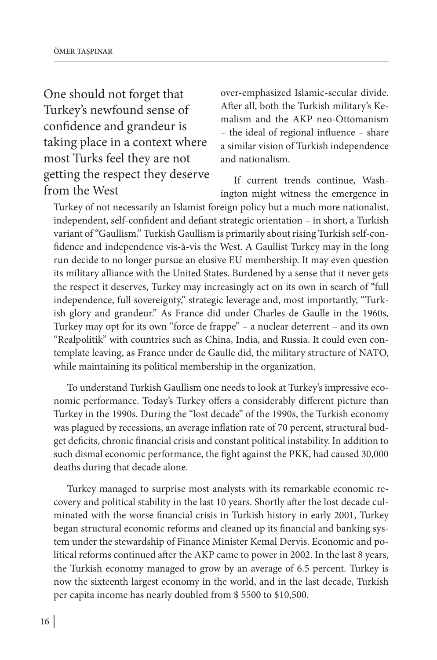One should not forget that Turkey's newfound sense of confidence and grandeur is taking place in a context where most Turks feel they are not getting the respect they deserve from the West

over-emphasized Islamic-secular divide. After all, both the Turkish military's Kemalism and the AKP neo-Ottomanism – the ideal of regional influence – share a similar vision of Turkish independence and nationalism.

If current trends continue, Washington might witness the emergence in

Turkey of not necessarily an Islamist foreign policy but a much more nationalist, independent, self-confident and defiant strategic orientation – in short, a Turkish variant of "Gaullism." Turkish Gaullism is primarily about rising Turkish self-confidence and independence vis-à-vis the West. A Gaullist Turkey may in the long run decide to no longer pursue an elusive EU membership. It may even question its military alliance with the United States. Burdened by a sense that it never gets the respect it deserves, Turkey may increasingly act on its own in search of "full independence, full sovereignty," strategic leverage and, most importantly, "Turkish glory and grandeur." As France did under Charles de Gaulle in the 1960s, Turkey may opt for its own "force de frappe" – a nuclear deterrent – and its own "Realpolitik" with countries such as China, India, and Russia. It could even contemplate leaving, as France under de Gaulle did, the military structure of NATO, while maintaining its political membership in the organization.

To understand Turkish Gaullism one needs to look at Turkey's impressive economic performance. Today's Turkey offers a considerably different picture than Turkey in the 1990s. During the "lost decade" of the 1990s, the Turkish economy was plagued by recessions, an average inflation rate of 70 percent, structural budget deficits, chronic financial crisis and constant political instability. In addition to such dismal economic performance, the fight against the PKK, had caused 30,000 deaths during that decade alone.

Turkey managed to surprise most analysts with its remarkable economic recovery and political stability in the last 10 years. Shortly after the lost decade culminated with the worse financial crisis in Turkish history in early 2001, Turkey began structural economic reforms and cleaned up its financial and banking system under the stewardship of Finance Minister Kemal Dervis. Economic and political reforms continued after the AKP came to power in 2002. In the last 8 years, the Turkish economy managed to grow by an average of 6.5 percent. Turkey is now the sixteenth largest economy in the world, and in the last decade, Turkish per capita income has nearly doubled from \$ 5500 to \$10,500.